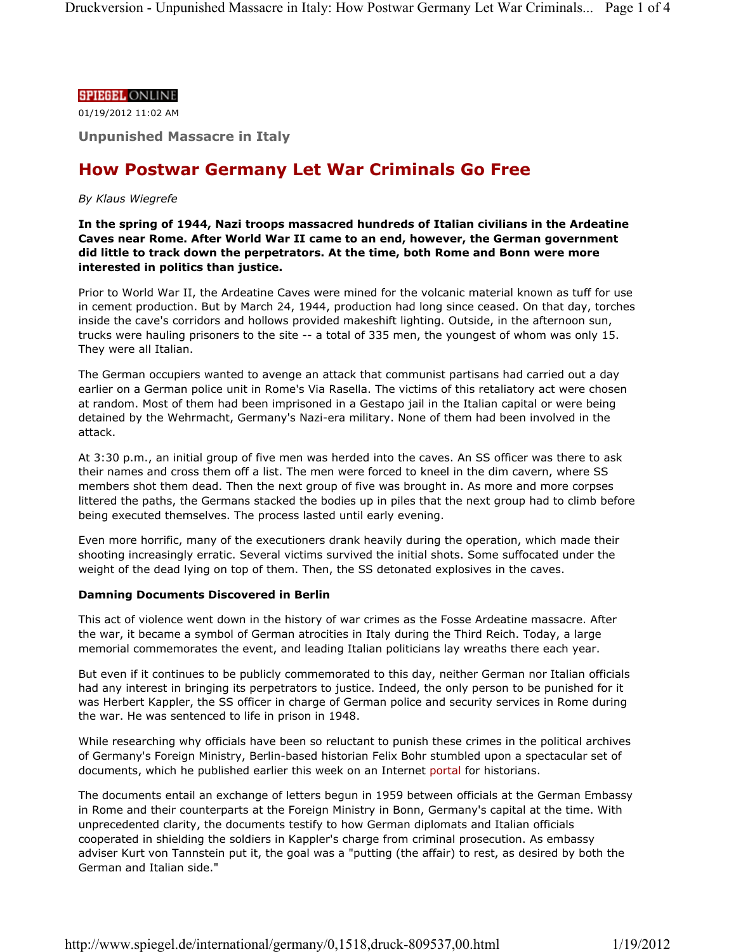### **SPIEGEL ONLINE**

01/19/2012 11:02 AM

**Unpunished Massacre in Italy**

# **How Postwar Germany Let War Criminals Go Free**

#### *By Klaus Wiegrefe*

**In the spring of 1944, Nazi troops massacred hundreds of Italian civilians in the Ardeatine Caves near Rome. After World War II came to an end, however, the German government did little to track down the perpetrators. At the time, both Rome and Bonn were more interested in politics than justice.**

Prior to World War II, the Ardeatine Caves were mined for the volcanic material known as tuff for use in cement production. But by March 24, 1944, production had long since ceased. On that day, torches inside the cave's corridors and hollows provided makeshift lighting. Outside, in the afternoon sun, trucks were hauling prisoners to the site -- a total of 335 men, the youngest of whom was only 15. They were all Italian.

The German occupiers wanted to avenge an attack that communist partisans had carried out a day earlier on a German police unit in Rome's Via Rasella. The victims of this retaliatory act were chosen at random. Most of them had been imprisoned in a Gestapo jail in the Italian capital or were being detained by the Wehrmacht, Germany's Nazi-era military. None of them had been involved in the attack.

At 3:30 p.m., an initial group of five men was herded into the caves. An SS officer was there to ask their names and cross them off a list. The men were forced to kneel in the dim cavern, where SS members shot them dead. Then the next group of five was brought in. As more and more corpses littered the paths, the Germans stacked the bodies up in piles that the next group had to climb before being executed themselves. The process lasted until early evening.

Even more horrific, many of the executioners drank heavily during the operation, which made their shooting increasingly erratic. Several victims survived the initial shots. Some suffocated under the weight of the dead lying on top of them. Then, the SS detonated explosives in the caves.

## **Damning Documents Discovered in Berlin**

This act of violence went down in the history of war crimes as the Fosse Ardeatine massacre. After the war, it became a symbol of German atrocities in Italy during the Third Reich. Today, a large memorial commemorates the event, and leading Italian politicians lay wreaths there each year.

But even if it continues to be publicly commemorated to this day, neither German nor Italian officials had any interest in bringing its perpetrators to justice. Indeed, the only person to be punished for it was Herbert Kappler, the SS officer in charge of German police and security services in Rome during the war. He was sentenced to life in prison in 1948.

While researching why officials have been so reluctant to punish these crimes in the political archives of Germany's Foreign Ministry, Berlin-based historian Felix Bohr stumbled upon a spectacular set of documents, which he published earlier this week on an Internet portal for historians.

The documents entail an exchange of letters begun in 1959 between officials at the German Embassy in Rome and their counterparts at the Foreign Ministry in Bonn, Germany's capital at the time. With unprecedented clarity, the documents testify to how German diplomats and Italian officials cooperated in shielding the soldiers in Kappler's charge from criminal prosecution. As embassy adviser Kurt von Tannstein put it, the goal was a "putting (the affair) to rest, as desired by both the German and Italian side."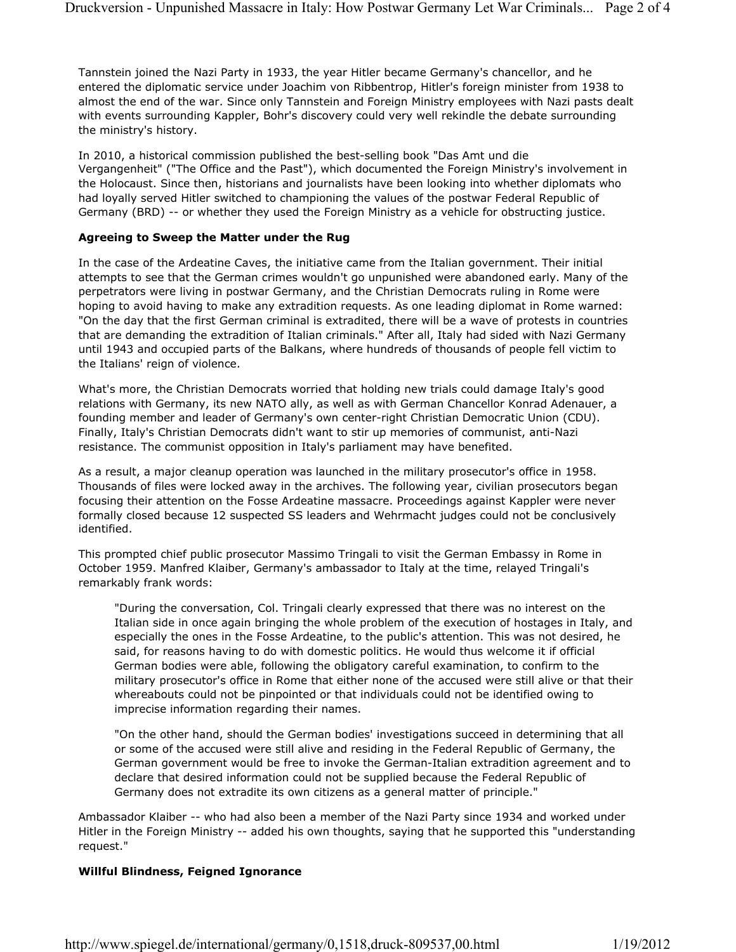Tannstein joined the Nazi Party in 1933, the year Hitler became Germany's chancellor, and he entered the diplomatic service under Joachim von Ribbentrop, Hitler's foreign minister from 1938 to almost the end of the war. Since only Tannstein and Foreign Ministry employees with Nazi pasts dealt with events surrounding Kappler, Bohr's discovery could very well rekindle the debate surrounding the ministry's history.

In 2010, a historical commission published the best-selling book "Das Amt und die Vergangenheit" ("The Office and the Past"), which documented the Foreign Ministry's involvement in the Holocaust. Since then, historians and journalists have been looking into whether diplomats who had loyally served Hitler switched to championing the values of the postwar Federal Republic of Germany (BRD) -- or whether they used the Foreign Ministry as a vehicle for obstructing justice.

## **Agreeing to Sweep the Matter under the Rug**

In the case of the Ardeatine Caves, the initiative came from the Italian government. Their initial attempts to see that the German crimes wouldn't go unpunished were abandoned early. Many of the perpetrators were living in postwar Germany, and the Christian Democrats ruling in Rome were hoping to avoid having to make any extradition requests. As one leading diplomat in Rome warned: "On the day that the first German criminal is extradited, there will be a wave of protests in countries that are demanding the extradition of Italian criminals." After all, Italy had sided with Nazi Germany until 1943 and occupied parts of the Balkans, where hundreds of thousands of people fell victim to the Italians' reign of violence.

What's more, the Christian Democrats worried that holding new trials could damage Italy's good relations with Germany, its new NATO ally, as well as with German Chancellor Konrad Adenauer, a founding member and leader of Germany's own center-right Christian Democratic Union (CDU). Finally, Italy's Christian Democrats didn't want to stir up memories of communist, anti-Nazi resistance. The communist opposition in Italy's parliament may have benefited.

As a result, a major cleanup operation was launched in the military prosecutor's office in 1958. Thousands of files were locked away in the archives. The following year, civilian prosecutors began focusing their attention on the Fosse Ardeatine massacre. Proceedings against Kappler were never formally closed because 12 suspected SS leaders and Wehrmacht judges could not be conclusively identified.

This prompted chief public prosecutor Massimo Tringali to visit the German Embassy in Rome in October 1959. Manfred Klaiber, Germany's ambassador to Italy at the time, relayed Tringali's remarkably frank words:

"During the conversation, Col. Tringali clearly expressed that there was no interest on the Italian side in once again bringing the whole problem of the execution of hostages in Italy, and especially the ones in the Fosse Ardeatine, to the public's attention. This was not desired, he said, for reasons having to do with domestic politics. He would thus welcome it if official German bodies were able, following the obligatory careful examination, to confirm to the military prosecutor's office in Rome that either none of the accused were still alive or that their whereabouts could not be pinpointed or that individuals could not be identified owing to imprecise information regarding their names.

"On the other hand, should the German bodies' investigations succeed in determining that all or some of the accused were still alive and residing in the Federal Republic of Germany, the German government would be free to invoke the German-Italian extradition agreement and to declare that desired information could not be supplied because the Federal Republic of Germany does not extradite its own citizens as a general matter of principle."

Ambassador Klaiber -- who had also been a member of the Nazi Party since 1934 and worked under Hitler in the Foreign Ministry -- added his own thoughts, saying that he supported this "understanding request."

## **Willful Blindness, Feigned Ignorance**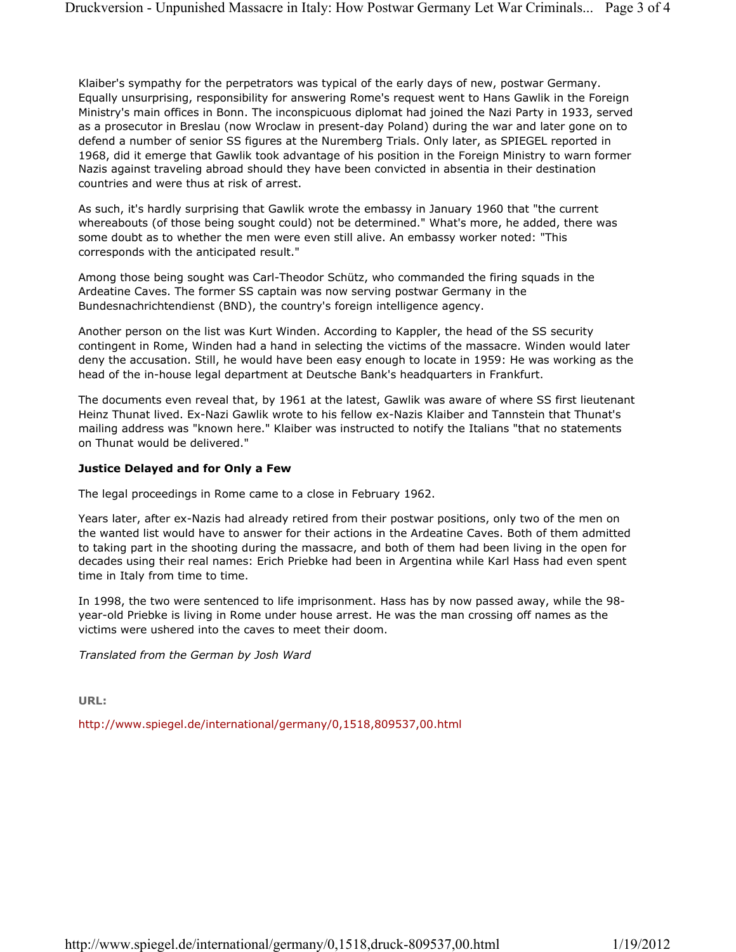Klaiber's sympathy for the perpetrators was typical of the early days of new, postwar Germany. Equally unsurprising, responsibility for answering Rome's request went to Hans Gawlik in the Foreign Ministry's main offices in Bonn. The inconspicuous diplomat had joined the Nazi Party in 1933, served as a prosecutor in Breslau (now Wroclaw in present-day Poland) during the war and later gone on to defend a number of senior SS figures at the Nuremberg Trials. Only later, as SPIEGEL reported in 1968, did it emerge that Gawlik took advantage of his position in the Foreign Ministry to warn former Nazis against traveling abroad should they have been convicted in absentia in their destination countries and were thus at risk of arrest.

As such, it's hardly surprising that Gawlik wrote the embassy in January 1960 that "the current whereabouts (of those being sought could) not be determined." What's more, he added, there was some doubt as to whether the men were even still alive. An embassy worker noted: "This corresponds with the anticipated result."

Among those being sought was Carl-Theodor Schütz, who commanded the firing squads in the Ardeatine Caves. The former SS captain was now serving postwar Germany in the Bundesnachrichtendienst (BND), the country's foreign intelligence agency.

Another person on the list was Kurt Winden. According to Kappler, the head of the SS security contingent in Rome, Winden had a hand in selecting the victims of the massacre. Winden would later deny the accusation. Still, he would have been easy enough to locate in 1959: He was working as the head of the in-house legal department at Deutsche Bank's headquarters in Frankfurt.

The documents even reveal that, by 1961 at the latest, Gawlik was aware of where SS first lieutenant Heinz Thunat lived. Ex-Nazi Gawlik wrote to his fellow ex-Nazis Klaiber and Tannstein that Thunat's mailing address was "known here." Klaiber was instructed to notify the Italians "that no statements on Thunat would be delivered."

### **Justice Delayed and for Only a Few**

The legal proceedings in Rome came to a close in February 1962.

Years later, after ex-Nazis had already retired from their postwar positions, only two of the men on the wanted list would have to answer for their actions in the Ardeatine Caves. Both of them admitted to taking part in the shooting during the massacre, and both of them had been living in the open for decades using their real names: Erich Priebke had been in Argentina while Karl Hass had even spent time in Italy from time to time.

In 1998, the two were sentenced to life imprisonment. Hass has by now passed away, while the 98 year-old Priebke is living in Rome under house arrest. He was the man crossing off names as the victims were ushered into the caves to meet their doom.

*Translated from the German by Josh Ward*

**URL:**

http://www.spiegel.de/international/germany/0,1518,809537,00.html